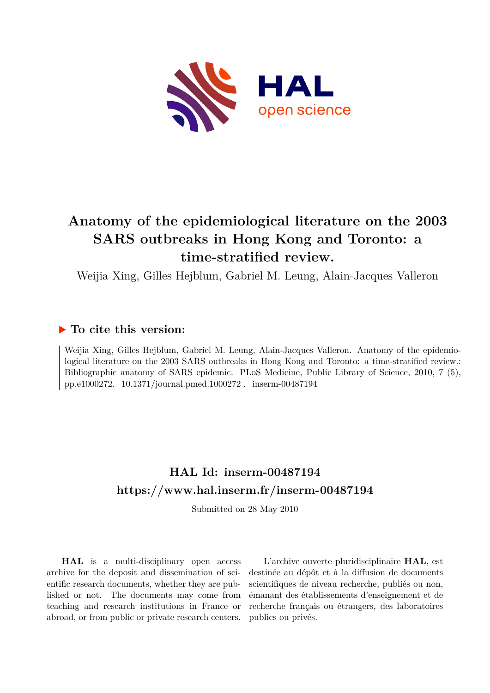

# **Anatomy of the epidemiological literature on the 2003 SARS outbreaks in Hong Kong and Toronto: a time-stratified review.**

Weijia Xing, Gilles Hejblum, Gabriel M. Leung, Alain-Jacques Valleron

### **To cite this version:**

Weijia Xing, Gilles Hejblum, Gabriel M. Leung, Alain-Jacques Valleron. Anatomy of the epidemiological literature on the 2003 SARS outbreaks in Hong Kong and Toronto: a time-stratified review.: Bibliographic anatomy of SARS epidemic. PLoS Medicine, Public Library of Science, 2010, 7 (5), pp.e1000272.  $10.1371/journal.pmed.1000272$ . inserm-00487194

### **HAL Id: inserm-00487194 <https://www.hal.inserm.fr/inserm-00487194>**

Submitted on 28 May 2010

**HAL** is a multi-disciplinary open access archive for the deposit and dissemination of scientific research documents, whether they are published or not. The documents may come from teaching and research institutions in France or abroad, or from public or private research centers.

L'archive ouverte pluridisciplinaire **HAL**, est destinée au dépôt et à la diffusion de documents scientifiques de niveau recherche, publiés ou non, émanant des établissements d'enseignement et de recherche français ou étrangers, des laboratoires publics ou privés.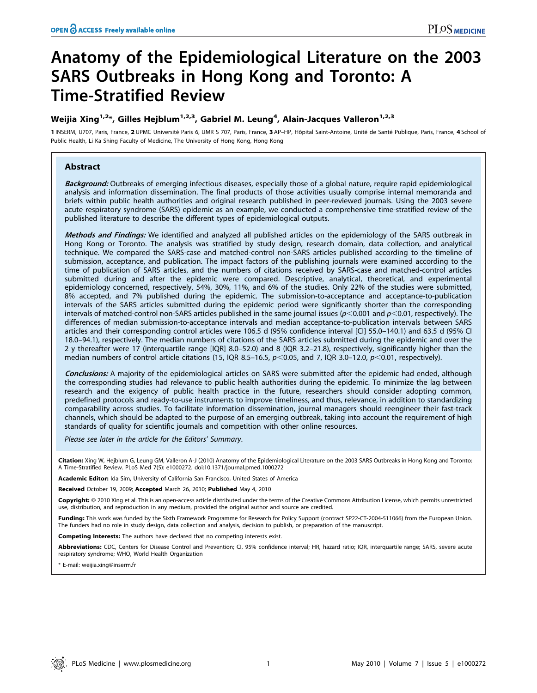# Anatomy of the Epidemiological Literature on the 2003 SARS Outbreaks in Hong Kong and Toronto: A Time-Stratified Review

### Weijia Xing $^{1,2\ast}$ , Gilles Hejblum $^{1,2,3}$ , Gabriel M. Leung $^4$ , Alain-Jacques Valleron $^{1,2,3}$

1 INSERM, U707, Paris, France, 2 UPMC Université Paris 6, UMR S 707, Paris, France, 3 AP-HP, Hôpital Saint-Antoine, Unité de Santé Publique, Paris, France, 4 School of Public Health, Li Ka Shing Faculty of Medicine, The University of Hong Kong, Hong Kong

#### Abstract

Background: Outbreaks of emerging infectious diseases, especially those of a global nature, require rapid epidemiological analysis and information dissemination. The final products of those activities usually comprise internal memoranda and briefs within public health authorities and original research published in peer-reviewed journals. Using the 2003 severe acute respiratory syndrome (SARS) epidemic as an example, we conducted a comprehensive time-stratified review of the published literature to describe the different types of epidemiological outputs.

Methods and Findings: We identified and analyzed all published articles on the epidemiology of the SARS outbreak in Hong Kong or Toronto. The analysis was stratified by study design, research domain, data collection, and analytical technique. We compared the SARS-case and matched-control non-SARS articles published according to the timeline of submission, acceptance, and publication. The impact factors of the publishing journals were examined according to the time of publication of SARS articles, and the numbers of citations received by SARS-case and matched-control articles submitted during and after the epidemic were compared. Descriptive, analytical, theoretical, and experimental epidemiology concerned, respectively, 54%, 30%, 11%, and 6% of the studies. Only 22% of the studies were submitted, 8% accepted, and 7% published during the epidemic. The submission-to-acceptance and acceptance-to-publication intervals of the SARS articles submitted during the epidemic period were significantly shorter than the corresponding intervals of matched-control non-SARS articles published in the same journal issues ( $p<0.001$  and  $p<0.01$ , respectively). The differences of median submission-to-acceptance intervals and median acceptance-to-publication intervals between SARS articles and their corresponding control articles were 106.5 d (95% confidence interval [CI] 55.0–140.1) and 63.5 d (95% CI 18.0–94.1), respectively. The median numbers of citations of the SARS articles submitted during the epidemic and over the 2 y thereafter were 17 (interquartile range [IQR] 8.0–52.0) and 8 (IQR 3.2–21.8), respectively, significantly higher than the median numbers of control article citations (15, IQR 8.5–16.5,  $p<$ 0.05, and 7, IQR 3.0–12.0,  $p<$ 0.01, respectively).

Conclusions: A majority of the epidemiological articles on SARS were submitted after the epidemic had ended, although the corresponding studies had relevance to public health authorities during the epidemic. To minimize the lag between research and the exigency of public health practice in the future, researchers should consider adopting common, predefined protocols and ready-to-use instruments to improve timeliness, and thus, relevance, in addition to standardizing comparability across studies. To facilitate information dissemination, journal managers should reengineer their fast-track channels, which should be adapted to the purpose of an emerging outbreak, taking into account the requirement of high standards of quality for scientific journals and competition with other online resources.

Please see later in the article for the Editors' Summary.

Citation: Xing W, Hejblum G, Leung GM, Valleron A-J (2010) Anatomy of the Epidemiological Literature on the 2003 SARS Outbreaks in Hong Kong and Toronto: A Time-Stratified Review. PLoS Med 7(5): e1000272. doi:10.1371/journal.pmed.1000272

Academic Editor: Ida Sim, University of California San Francisco, United States of America

Received October 19, 2009; Accepted March 26, 2010; Published May 4, 2010

Copyright: © 2010 Xing et al. This is an open-access article distributed under the terms of the Creative Commons Attribution License, which permits unrestricted use, distribution, and reproduction in any medium, provided the original author and source are credited.

**Funding:** This work was funded by the Sixth Framework Programme for Research for Policy Support (contract SP22-CT-2004-511066) from the European Union. The funders had no role in study design, data collection and analysis, decision to publish, or preparation of the manuscript.

Competing Interests: The authors have declared that no competing interests exist.

Abbreviations: CDC, Centers for Disease Control and Prevention; Cl, 95% confidence interval; HR, hazard ratio; IQR, interquartile range; SARS, severe acute respiratory syndrome; WHO, World Health Organization

\* E-mail: weijia.xing@inserm.fr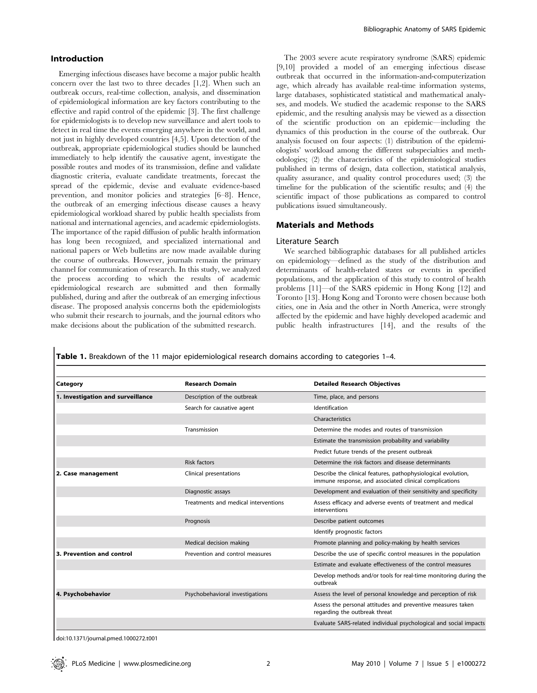#### Introduction

Emerging infectious diseases have become a major public health concern over the last two to three decades [1,2]. When such an outbreak occurs, real-time collection, analysis, and dissemination of epidemiological information are key factors contributing to the effective and rapid control of the epidemic [3]. The first challenge for epidemiologists is to develop new surveillance and alert tools to detect in real time the events emerging anywhere in the world, and not just in highly developed countries [4,5]. Upon detection of the outbreak, appropriate epidemiological studies should be launched immediately to help identify the causative agent, investigate the possible routes and modes of its transmission, define and validate diagnostic criteria, evaluate candidate treatments, forecast the spread of the epidemic, devise and evaluate evidence-based prevention, and monitor policies and strategies [6–8]. Hence, the outbreak of an emerging infectious disease causes a heavy epidemiological workload shared by public health specialists from national and international agencies, and academic epidemiologists. The importance of the rapid diffusion of public health information has long been recognized, and specialized international and national papers or Web bulletins are now made available during the course of outbreaks. However, journals remain the primary channel for communication of research. In this study, we analyzed the process according to which the results of academic epidemiological research are submitted and then formally published, during and after the outbreak of an emerging infectious disease. The proposed analysis concerns both the epidemiologists who submit their research to journals, and the journal editors who make decisions about the publication of the submitted research.

The 2003 severe acute respiratory syndrome (SARS) epidemic [9,10] provided a model of an emerging infectious disease outbreak that occurred in the information-and-computerization age, which already has available real-time information systems, large databases, sophisticated statistical and mathematical analyses, and models. We studied the academic response to the SARS epidemic, and the resulting analysis may be viewed as a dissection of the scientific production on an epidemic—including the dynamics of this production in the course of the outbreak. Our analysis focused on four aspects: (1) distribution of the epidemiologists' workload among the different subspecialties and methodologies; (2) the characteristics of the epidemiological studies published in terms of design, data collection, statistical analysis, quality assurance, and quality control procedures used; (3) the timeline for the publication of the scientific results; and (4) the scientific impact of those publications as compared to control publications issued simultaneously.

#### Materials and Methods

#### Literature Search

We searched bibliographic databases for all published articles on epidemiology—defined as the study of the distribution and determinants of health-related states or events in specified populations, and the application of this study to control of health problems [11]—of the SARS epidemic in Hong Kong [12] and Toronto [13]. Hong Kong and Toronto were chosen because both cities, one in Asia and the other in North America, were strongly affected by the epidemic and have highly developed academic and public health infrastructures [14], and the results of the

Table 1. Breakdown of the 11 major epidemiological research domains according to categories 1-4.

| Category                          | <b>Research Domain</b>               | <b>Detailed Research Objectives</b>                                                                                     |
|-----------------------------------|--------------------------------------|-------------------------------------------------------------------------------------------------------------------------|
| 1. Investigation and surveillance | Description of the outbreak          | Time, place, and persons                                                                                                |
|                                   | Search for causative agent           | Identification                                                                                                          |
|                                   |                                      | Characteristics                                                                                                         |
|                                   | Transmission                         | Determine the modes and routes of transmission                                                                          |
|                                   |                                      | Estimate the transmission probability and variability                                                                   |
|                                   |                                      | Predict future trends of the present outbreak                                                                           |
|                                   | <b>Risk factors</b>                  | Determine the risk factors and disease determinants                                                                     |
| 2. Case management                | Clinical presentations               | Describe the clinical features, pathophysiological evolution,<br>immune response, and associated clinical complications |
|                                   | Diagnostic assays                    | Development and evaluation of their sensitivity and specificity                                                         |
|                                   | Treatments and medical interventions | Assess efficacy and adverse events of treatment and medical<br>interventions                                            |
|                                   | Prognosis                            | Describe patient outcomes                                                                                               |
|                                   |                                      | Identify prognostic factors                                                                                             |
|                                   | Medical decision making              | Promote planning and policy-making by health services                                                                   |
| 3. Prevention and control         | Prevention and control measures      | Describe the use of specific control measures in the population                                                         |
|                                   |                                      | Estimate and evaluate effectiveness of the control measures                                                             |
|                                   |                                      | Develop methods and/or tools for real-time monitoring during the<br>outbreak                                            |
| 4. Psychobehavior                 | Psychobehavioral investigations      | Assess the level of personal knowledge and perception of risk                                                           |
|                                   |                                      | Assess the personal attitudes and preventive measures taken<br>regarding the outbreak threat                            |
|                                   |                                      | Evaluate SARS-related individual psychological and social impacts                                                       |

doi:10.1371/journal.pmed.1000272.t001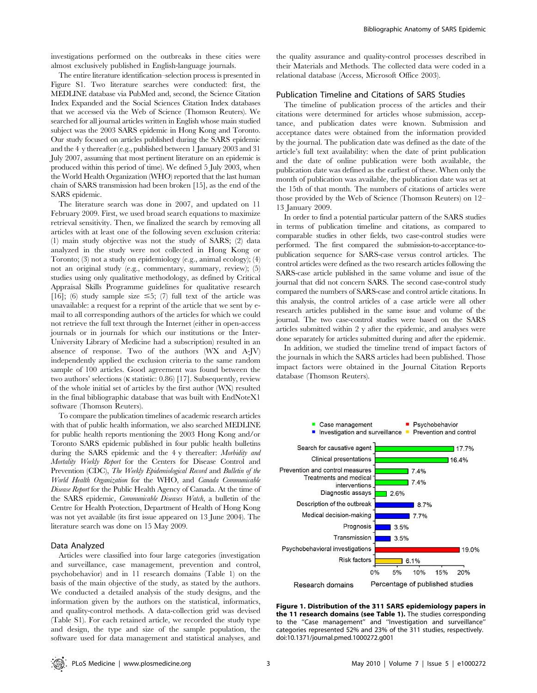investigations performed on the outbreaks in these cities were almost exclusively published in English-language journals.

The entire literature identification–selection process is presented in Figure S1. Two literature searches were conducted: first, the MEDLINE database via PubMed and, second, the Science Citation Index Expanded and the Social Sciences Citation Index databases that we accessed via the Web of Science (Thomson Reuters). We searched for all journal articles written in English whose main studied subject was the 2003 SARS epidemic in Hong Kong and Toronto. Our study focused on articles published during the SARS epidemic and the 4 y thereafter (e.g., published between 1 January 2003 and 31 July 2007, assuming that most pertinent literature on an epidemic is produced within this period of time). We defined 5 July 2003, when the World Health Organization (WHO) reported that the last human chain of SARS transmission had been broken [15], as the end of the SARS epidemic.

The literature search was done in 2007, and updated on 11 February 2009. First, we used broad search equations to maximize retrieval sensitivity. Then, we finalized the search by removing all articles with at least one of the following seven exclusion criteria: (1) main study objective was not the study of SARS; (2) data analyzed in the study were not collected in Hong Kong or Toronto; (3) not a study on epidemiology (e.g., animal ecology); (4) not an original study (e.g., commentary, summary, review); (5) studies using only qualitative methodology, as defined by Critical Appraisal Skills Programme guidelines for qualitative research [16]; (6) study sample size  $\leq 5$ ; (7) full text of the article was unavailable: a request for a reprint of the article that we sent by email to all corresponding authors of the articles for which we could not retrieve the full text through the Internet (either in open-access journals or in journals for which our institutions or the Inter-University Library of Medicine had a subscription) resulted in an absence of response. Two of the authors (WX and A-JV) independently applied the exclusion criteria to the same random sample of 100 articles. Good agreement was found between the two authors' selections (k statistic: 0.86) [17]. Subsequently, review of the whole initial set of articles by the first author (WX) resulted in the final bibliographic database that was built with EndNoteX1 software (Thomson Reuters).

To compare the publication timelines of academic research articles with that of public health information, we also searched MEDLINE for public health reports mentioning the 2003 Hong Kong and/or Toronto SARS epidemic published in four public health bulletins during the SARS epidemic and the 4 y thereafter: Morbidity and Mortality Weekly Report for the Centers for Disease Control and Prevention (CDC), The Weekly Epidemiological Record and Bulletin of the World Health Organization for the WHO, and Canada Communicable Disease Report for the Public Health Agency of Canada. At the time of the SARS epidemic, Communicable Diseases Watch, a bulletin of the Centre for Health Protection, Department of Health of Hong Kong was not yet available (its first issue appeared on 13 June 2004). The literature search was done on 15 May 2009.

#### Data Analyzed

Articles were classified into four large categories (investigation and surveillance, case management, prevention and control, psychobehavior) and in 11 research domains (Table 1) on the basis of the main objective of the study, as stated by the authors. We conducted a detailed analysis of the study designs, and the information given by the authors on the statistical, informatics, and quality-control methods. A data-collection grid was devised (Table S1). For each retained article, we recorded the study type and design, the type and size of the sample population, the software used for data management and statistical analyses, and the quality assurance and quality-control processes described in their Materials and Methods. The collected data were coded in a relational database (Access, Microsoft Office 2003).

#### Publication Timeline and Citations of SARS Studies

The timeline of publication process of the articles and their citations were determined for articles whose submission, acceptance, and publication dates were known. Submission and acceptance dates were obtained from the information provided by the journal. The publication date was defined as the date of the article's full text availability: when the date of print publication and the date of online publication were both available, the publication date was defined as the earliest of these. When only the month of publication was available, the publication date was set at the 15th of that month. The numbers of citations of articles were those provided by the Web of Science (Thomson Reuters) on 12– 13 January 2009.

In order to find a potential particular pattern of the SARS studies in terms of publication timeline and citations, as compared to comparable studies in other fields, two case-control studies were performed. The first compared the submission-to-acceptance-topublication sequence for SARS-case versus control articles. The control articles were defined as the two research articles following the SARS-case article published in the same volume and issue of the journal that did not concern SARS. The second case-control study compared the numbers of SARS-case and control article citations. In this analysis, the control articles of a case article were all other research articles published in the same issue and volume of the journal. The two case-control studies were based on the SARS articles submitted within 2 y after the epidemic, and analyses were done separately for articles submitted during and after the epidemic.

In addition, we studied the timeline trend of impact factors of the journals in which the SARS articles had been published. Those impact factors were obtained in the Journal Citation Reports database (Thomson Reuters).



Figure 1. Distribution of the 311 SARS epidemiology papers in the 11 research domains (see Table 1). The studies corresponding to the ''Case management'' and ''Investigation and surveillance'' categories represented 52% and 23% of the 311 studies, respectively. doi:10.1371/journal.pmed.1000272.g001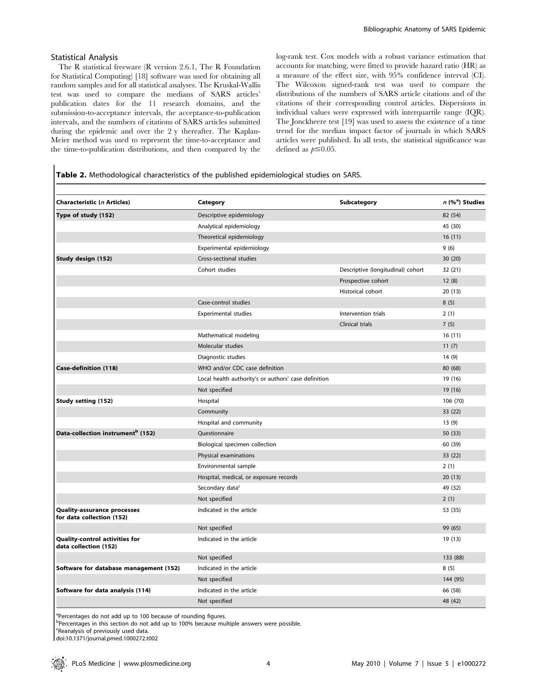#### Statistical Analysis

The R statistical freeware (R version 2.6.1, The R Foundation for Statistical Computing) [18] software was used for obtaining all random samples and for all statistical analyses. The Kruskal-Wallis test was used to compare the medians of SARS articles' publication dates for the 11 research domains, and the submission-to-acceptance intervals, the acceptance-to-publication intervals, and the numbers of citations of SARS articles submitted during the epidemic and over the 2 y thereafter. The Kaplan-Meier method was used to represent the time-to-acceptance and the time-to-publication distributions, and then compared by the log-rank test. Cox models with a robust variance estimation that accounts for matching, were fitted to provide hazard ratio (HR) as a measure of the effect size, with 95% confidence interval (CI). The Wilcoxon signed-rank test was used to compare the distributions of the numbers of SARS article citations and of the citations of their corresponding control articles. Dispersions in individual values were expressed with interquartile range (IQR). The Jonckheere test [19] was used to assess the existence of a time trend for the median impact factor of journals in which SARS articles were published. In all tests, the statistical significance was defined as  $p \leq 0.05$ .

#### Table 2. Methodological characteristics of the published epidemiological studies on SARS.

| Characteristic (n Articles)                              | Category                                             | Subcategory                       | $n$ (% <sup>a</sup> ) Studies |
|----------------------------------------------------------|------------------------------------------------------|-----------------------------------|-------------------------------|
| Type of study (152)                                      | Descriptive epidemiology                             |                                   | 82 (54)                       |
|                                                          | Analytical epidemiology                              |                                   | 45 (30)                       |
|                                                          | Theoretical epidemiology                             |                                   | 16(11)                        |
|                                                          | Experimental epidemiology                            |                                   | 9(6)                          |
| Study design (152)                                       | Cross-sectional studies                              |                                   | 30(20)                        |
|                                                          | Cohort studies                                       | Descriptive (longitudinal) cohort | 32 (21)                       |
|                                                          |                                                      | Prospective cohort                | 12(8)                         |
|                                                          |                                                      | Historical cohort                 | 20(13)                        |
|                                                          | Case-control studies                                 |                                   | 8(5)                          |
|                                                          | <b>Experimental studies</b>                          | Intervention trials               | 2(1)                          |
|                                                          |                                                      | Clinical trials                   | 7(5)                          |
|                                                          | Mathematical modeling                                |                                   | 16(11)                        |
|                                                          | Molecular studies                                    |                                   | 11(7)                         |
|                                                          | Diagnostic studies                                   |                                   | 14(9)                         |
| <b>Case-definition (118)</b>                             | WHO and/or CDC case definition                       |                                   | 80 (68)                       |
|                                                          | Local health authority's or authors' case definition |                                   | 19 (16)                       |
|                                                          | Not specified                                        |                                   | 19 (16)                       |
| <b>Study setting (152)</b>                               | Hospital                                             |                                   | 106 (70)                      |
|                                                          | Community                                            |                                   | 33 (22)                       |
|                                                          | Hospital and community                               |                                   | 13(9)                         |
| Data-collection instrument <sup>b</sup> (152)            | Questionnaire                                        |                                   | 50(33)                        |
|                                                          | Biological specimen collection                       |                                   | 60 (39)                       |
|                                                          | Physical examinations                                |                                   | 33(22)                        |
|                                                          | Environmental sample                                 |                                   | 2(1)                          |
|                                                          | Hospital, medical, or exposure records               |                                   | 20(13)                        |
|                                                          | Secondary data <sup>c</sup>                          |                                   | 49 (32)                       |
|                                                          | Not specified                                        |                                   | 2(1)                          |
| Quality-assurance processes<br>for data collection (152) | Indicated in the article                             |                                   | 53 (35)                       |
|                                                          | Not specified                                        |                                   | 99 (65)                       |
| Quality-control activities for<br>data collection (152)  | Indicated in the article                             |                                   | 19 (13)                       |
|                                                          | Not specified                                        |                                   | 133 (88)                      |
| Software for database management (152)                   | Indicated in the article                             |                                   | 8(5)                          |
|                                                          | Not specified                                        |                                   | 144 (95)                      |
| Software for data analysis (114)                         | Indicated in the article                             |                                   | 66 (58)                       |
|                                                          | Not specified                                        |                                   | 48 (42)                       |

<sup>a</sup>Percentages do not add up to 100 because of rounding figures.

b<br><sup>b</sup>Percentages in this section do not add up to 100% because multiple answers were possible.

c Reanalysis of previously used data.

doi:10.1371/journal.pmed.1000272.t002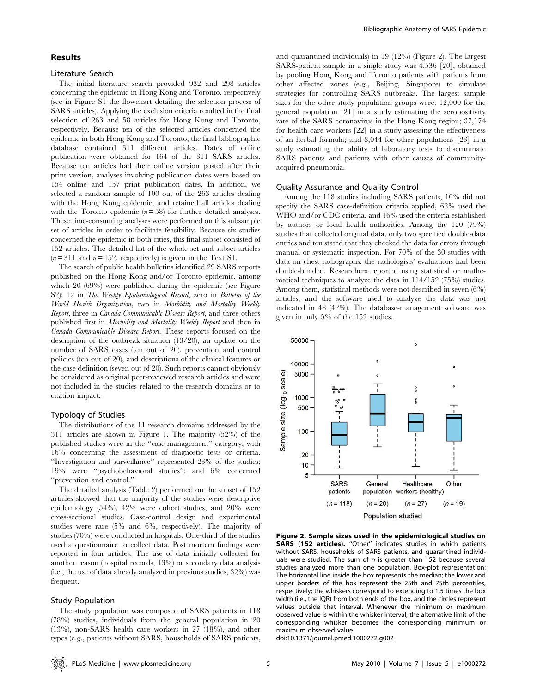#### Results

#### Literature Search

The initial literature search provided 932 and 298 articles concerning the epidemic in Hong Kong and Toronto, respectively (see in Figure S1 the flowchart detailing the selection process of SARS articles). Applying the exclusion criteria resulted in the final selection of 263 and 58 articles for Hong Kong and Toronto, respectively. Because ten of the selected articles concerned the epidemic in both Hong Kong and Toronto, the final bibliographic database contained 311 different articles. Dates of online publication were obtained for 164 of the 311 SARS articles. Because ten articles had their online version posted after their print version, analyses involving publication dates were based on 154 online and 157 print publication dates. In addition, we selected a random sample of 100 out of the 263 articles dealing with the Hong Kong epidemic, and retained all articles dealing with the Toronto epidemic  $(n=58)$  for further detailed analyses. These time-consuming analyses were performed on this subsample set of articles in order to facilitate feasibility. Because six studies concerned the epidemic in both cities, this final subset consisted of 152 articles. The detailed list of the whole set and subset articles  $(n=311$  and  $n=152$ , respectively) is given in the Text S1.

The search of public health bulletins identified 29 SARS reports published on the Hong Kong and/or Toronto epidemic, among which 20 (69%) were published during the epidemic (see Figure S2): 12 in The Weekly Epidemiological Record, zero in Bulletin of the World Health Organization, two in Morbidity and Mortality Weekly Report, three in Canada Communicable Disease Report, and three others published first in Morbidity and Mortality Weekly Report and then in Canada Communicable Disease Report. These reports focused on the description of the outbreak situation (13/20), an update on the number of SARS cases (ten out of 20), prevention and control policies (ten out of 20), and descriptions of the clinical features or the case definition (seven out of 20). Such reports cannot obviously be considered as original peer-reviewed research articles and were not included in the studies related to the research domains or to citation impact.

#### Typology of Studies

The distributions of the 11 research domains addressed by the 311 articles are shown in Figure 1. The majority (52%) of the published studies were in the ''case-management'' category, with 16% concerning the assessment of diagnostic tests or criteria. ''Investigation and surveillance'' represented 23% of the studies; 19% were ''psychobehavioral studies''; and 6% concerned ''prevention and control.''

The detailed analysis (Table 2) performed on the subset of 152 articles showed that the majority of the studies were descriptive epidemiology (54%), 42% were cohort studies, and 20% were cross-sectional studies. Case-control design and experimental studies were rare (5% and 6%, respectively). The majority of studies (70%) were conducted in hospitals. One-third of the studies used a questionnaire to collect data. Post mortem findings were reported in four articles. The use of data initially collected for another reason (hospital records, 13%) or secondary data analysis (i.e., the use of data already analyzed in previous studies, 32%) was frequent.

#### Study Population

The study population was composed of SARS patients in 118 (78%) studies, individuals from the general population in 20 (13%), non-SARS health care workers in 27 (18%), and other types (e.g., patients without SARS, households of SARS patients,

and quarantined individuals) in 19 (12%) (Figure 2). The largest SARS-patient sample in a single study was 4,536 [20], obtained by pooling Hong Kong and Toronto patients with patients from other affected zones (e.g., Beijing, Singapore) to simulate strategies for controlling SARS outbreaks. The largest sample sizes for the other study population groups were: 12,000 for the general population [21] in a study estimating the seropositivity rate of the SARS coronavirus in the Hong Kong region; 37,174 for health care workers [22] in a study assessing the effectiveness of an herbal formula; and 8,044 for other populations [23] in a study estimating the ability of laboratory tests to discriminate SARS patients and patients with other causes of communityacquired pneumonia.

#### Quality Assurance and Quality Control

Among the 118 studies including SARS patients, 16% did not specify the SARS case-definition criteria applied, 68% used the WHO and/or CDC criteria, and 16% used the criteria established by authors or local health authorities. Among the 120 (79%) studies that collected original data, only two specified double-data entries and ten stated that they checked the data for errors through manual or systematic inspection. For 70% of the 30 studies with data on chest radiographs, the radiologists' evaluations had been double-blinded. Researchers reported using statistical or mathematical techniques to analyze the data in 114/152 (75%) studies. Among them, statistical methods were not described in seven (6%) articles, and the software used to analyze the data was not indicated in 48 (42%). The database-management software was given in only 5% of the 152 studies.



Figure 2. Sample sizes used in the epidemiological studies on SARS (152 articles). "Other" indicates studies in which patients without SARS, households of SARS patients, and quarantined individuals were studied. The sum of  $n$  is greater than 152 because several studies analyzed more than one population. Box-plot representation: The horizontal line inside the box represents the median; the lower and upper borders of the box represent the 25th and 75th percentiles, respectively; the whiskers correspond to extending to 1.5 times the box width (i.e., the IQR) from both ends of the box, and the circles represent values outside that interval. Whenever the minimum or maximum observed value is within the whisker interval, the alternative limit of the corresponding whisker becomes the corresponding minimum or maximum observed value.

doi:10.1371/journal.pmed.1000272.g002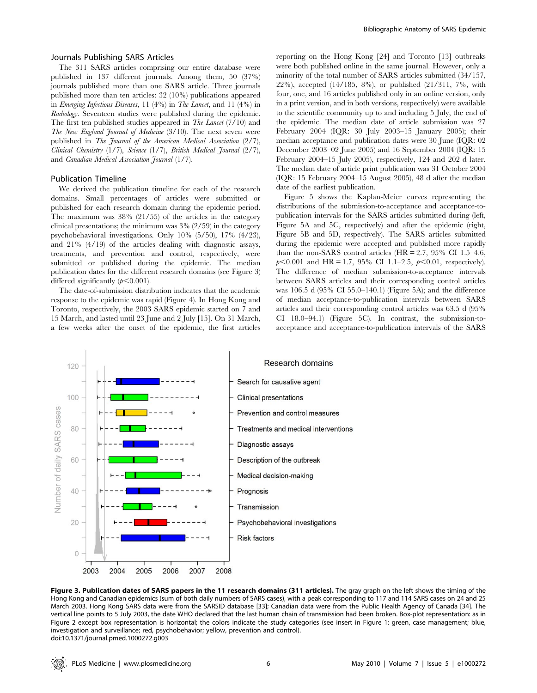#### Journals Publishing SARS Articles

The 311 SARS articles comprising our entire database were published in 137 different journals. Among them, 50 (37%) journals published more than one SARS article. Three journals published more than ten articles: 32 (10%) publications appeared in Emerging Infectious Diseases, 11 (4%) in The Lancet, and 11 (4%) in Radiology. Seventeen studies were published during the epidemic. The first ten published studies appeared in *The Lancet* (7/10) and The New England Journal of Medicine (3/10). The next seven were published in The Journal of the American Medical Association (2/7), Clinical Chemistry (1/7), Science (1/7), British Medical Journal (2/7), and Canadian Medical Association Journal (1/7).

#### Publication Timeline

We derived the publication timeline for each of the research domains. Small percentages of articles were submitted or published for each research domain during the epidemic period. The maximum was 38% (21/55) of the articles in the category clinical presentations; the minimum was 3% (2/59) in the category psychobehavioral investigations. Only 10% (5/50), 17% (4/23), and 21% (4/19) of the articles dealing with diagnostic assays, treatments, and prevention and control, respectively, were submitted or published during the epidemic. The median publication dates for the different research domains (see Figure 3) differed significantly  $(p<0.001)$ .

The date-of-submission distribution indicates that the academic response to the epidemic was rapid (Figure 4). In Hong Kong and Toronto, respectively, the 2003 SARS epidemic started on 7 and 15 March, and lasted until 23 June and 2 July [15]. On 31 March, a few weeks after the onset of the epidemic, the first articles

reporting on the Hong Kong [24] and Toronto [13] outbreaks were both published online in the same journal. However, only a minority of the total number of SARS articles submitted (34/157, 22%), accepted (14/185, 8%), or published (21/311, 7%, with four, one, and 16 articles published only in an online version, only in a print version, and in both versions, respectively) were available to the scientific community up to and including 5 July, the end of the epidemic. The median date of article submission was 27 February 2004 (IQR: 30 July 2003–15 January 2005); their median acceptance and publication dates were 30 June (IQR: 02 December 2003–02 June 2005) and 16 September 2004 (IQR: 15 February 2004–15 July 2005), respectively, 124 and 202 d later. The median date of article print publication was 31 October 2004 (IQR: 15 February 2004–15 August 2005), 48 d after the median date of the earliest publication.

Figure 5 shows the Kaplan-Meier curves representing the distributions of the submission-to-acceptance and acceptance-topublication intervals for the SARS articles submitted during (left, Figure 5A and 5C, respectively) and after the epidemic (right, Figure 5B and 5D, respectively). The SARS articles submitted during the epidemic were accepted and published more rapidly than the non-SARS control articles  $(HR = 2.7, 95\% \text{ CI } 1.5-4.6,$  $p<0.001$  and HR = 1.7, 95% CI 1.1–2.5,  $p<0.01$ , respectively). The difference of median submission-to-acceptance intervals between SARS articles and their corresponding control articles was 106.5 d (95% CI 55.0–140.1) (Figure 5A); and the difference of median acceptance-to-publication intervals between SARS articles and their corresponding control articles was 63.5 d (95% CI 18.0–94.1) (Figure 5C). In contrast, the submission-toacceptance and acceptance-to-publication intervals of the SARS



Figure 3. Publication dates of SARS papers in the 11 research domains (311 articles). The gray graph on the left shows the timing of the Hong Kong and Canadian epidemics (sum of both daily numbers of SARS cases), with a peak corresponding to 117 and 114 SARS cases on 24 and 25 March 2003. Hong Kong SARS data were from the SARSID database [33]; Canadian data were from the Public Health Agency of Canada [34]. The vertical line points to 5 July 2003, the date WHO declared that the last human chain of transmission had been broken. Box-plot representation: as in Figure 2 except box representation is horizontal; the colors indicate the study categories (see insert in Figure 1; green, case management; blue, investigation and surveillance; red, psychobehavior; yellow, prevention and control). doi:10.1371/journal.pmed.1000272.g003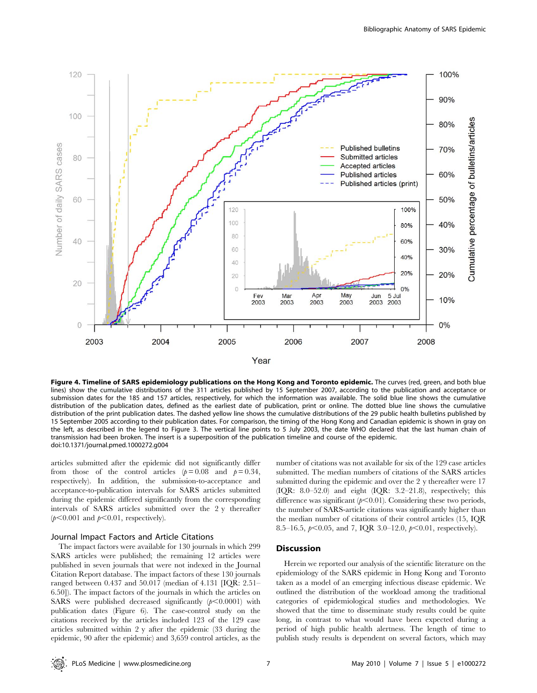

Figure 4. Timeline of SARS epidemiology publications on the Hong Kong and Toronto epidemic. The curves (red, green, and both blue lines) show the cumulative distributions of the 311 articles published by 15 September 2007, according to the publication and acceptance or submission dates for the 185 and 157 articles, respectively, for which the information was available. The solid blue line shows the cumulative distribution of the publication dates, defined as the earliest date of publication, print or online. The dotted blue line shows the cumulative distribution of the print publication dates. The dashed yellow line shows the cumulative distributions of the 29 public health bulletins published by 15 September 2005 according to their publication dates. For comparison, the timing of the Hong Kong and Canadian epidemic is shown in gray on the left, as described in the legend to Figure 3. The vertical line points to 5 July 2003, the date WHO declared that the last human chain of transmission had been broken. The insert is a superposition of the publication timeline and course of the epidemic. doi:10.1371/journal.pmed.1000272.g004

articles submitted after the epidemic did not significantly differ from those of the control articles  $(p=0.08$  and  $p=0.34$ , respectively). In addition, the submission-to-acceptance and acceptance-to-publication intervals for SARS articles submitted during the epidemic differed significantly from the corresponding intervals of SARS articles submitted over the 2 y thereafter  $(p<0.001$  and  $p<0.01$ , respectively).

#### Journal Impact Factors and Article Citations

The impact factors were available for 130 journals in which 299 SARS articles were published; the remaining 12 articles were published in seven journals that were not indexed in the Journal Citation Report database. The impact factors of these 130 journals ranged between 0.437 and 50.017 (median of 4.131 [IQR: 2.51– 6.50]). The impact factors of the journals in which the articles on SARS were published decreased significantly  $(p<0.0001)$  with publication dates (Figure 6). The case-control study on the citations received by the articles included 123 of the 129 case articles submitted within 2 y after the epidemic (33 during the epidemic, 90 after the epidemic) and 3,659 control articles, as the

number of citations was not available for six of the 129 case articles submitted. The median numbers of citations of the SARS articles submitted during the epidemic and over the 2 y thereafter were 17 (IQR: 8.0–52.0) and eight (IQR: 3.2–21.8), respectively; this difference was significant  $(p<0.01)$ . Considering these two periods, the number of SARS-article citations was significantly higher than the median number of citations of their control articles (15, IQR 8.5–16.5,  $p<0.05$ , and 7, IQR 3.0–12.0,  $p<0.01$ , respectively).

#### Discussion

Herein we reported our analysis of the scientific literature on the epidemiology of the SARS epidemic in Hong Kong and Toronto taken as a model of an emerging infectious disease epidemic. We outlined the distribution of the workload among the traditional categories of epidemiological studies and methodologies. We showed that the time to disseminate study results could be quite long, in contrast to what would have been expected during a period of high public health alertness. The length of time to publish study results is dependent on several factors, which may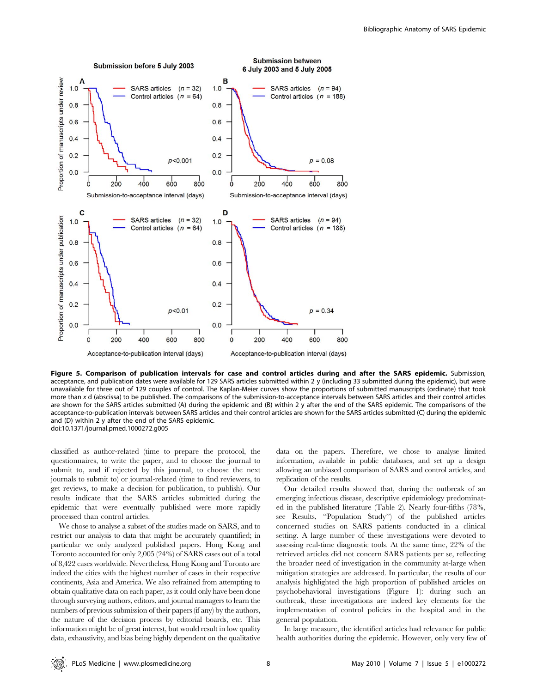

Figure 5. Comparison of publication intervals for case and control articles during and after the SARS epidemic. Submission, acceptance, and publication dates were available for 129 SARS articles submitted within 2 y (including 33 submitted during the epidemic), but were unavailable for three out of 129 couples of control. The Kaplan-Meier curves show the proportions of submitted manuscripts (ordinate) that took more than x d (abscissa) to be published. The comparisons of the submission-to-acceptance intervals between SARS articles and their control articles are shown for the SARS articles submitted (A) during the epidemic and (B) within 2 y after the end of the SARS epidemic. The comparisons of the acceptance-to-publication intervals between SARS articles and their control articles are shown for the SARS articles submitted (C) during the epidemic and (D) within 2 y after the end of the SARS epidemic. doi:10.1371/journal.pmed.1000272.g005

classified as author-related (time to prepare the protocol, the questionnaires, to write the paper, and to choose the journal to submit to, and if rejected by this journal, to choose the next journals to submit to) or journal-related (time to find reviewers, to get reviews, to make a decision for publication, to publish). Our results indicate that the SARS articles submitted during the epidemic that were eventually published were more rapidly processed than control articles.

We chose to analyse a subset of the studies made on SARS, and to restrict our analysis to data that might be accurately quantified; in particular we only analyzed published papers. Hong Kong and Toronto accounted for only 2,005 (24%) of SARS cases out of a total of 8,422 cases worldwide. Nevertheless, Hong Kong and Toronto are indeed the cities with the highest number of cases in their respective continents, Asia and America. We also refrained from attempting to obtain qualitative data on each paper, as it could only have been done through surveying authors, editors, and journal managers to learn the numbers of previous submission of their papers (if any) by the authors, the nature of the decision process by editorial boards, etc. This information might be of great interest, but would result in low quality data, exhaustivity, and bias being highly dependent on the qualitative

data on the papers. Therefore, we chose to analyse limited information, available in public databases, and set up a design allowing an unbiased comparison of SARS and control articles, and replication of the results.

Our detailed results showed that, during the outbreak of an emerging infectious disease, descriptive epidemiology predominated in the published literature (Table 2). Nearly four-fifths (78%, see Results, ''Population Study'') of the published articles concerned studies on SARS patients conducted in a clinical setting. A large number of these investigations were devoted to assessing real-time diagnostic tools. At the same time, 22% of the retrieved articles did not concern SARS patients per se, reflecting the broader need of investigation in the community at-large when mitigation strategies are addressed. In particular, the results of our analysis highlighted the high proportion of published articles on psychobehavioral investigations (Figure 1): during such an outbreak, these investigations are indeed key elements for the implementation of control policies in the hospital and in the general population.

In large measure, the identified articles had relevance for public health authorities during the epidemic. However, only very few of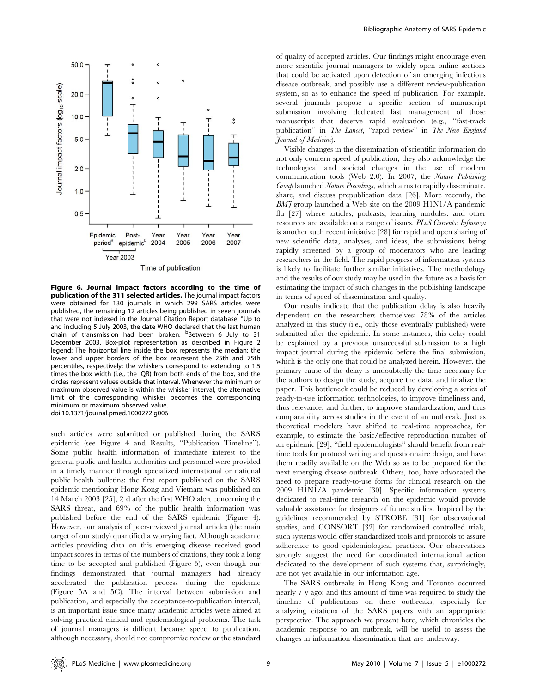

Figure 6. Journal Impact factors according to the time of publication of the 311 selected articles. The journal impact factors were obtained for 130 journals in which 299 SARS articles were published, the remaining 12 articles being published in seven journals that were not indexed in the Journal Citation Report database. <sup>a</sup>Up to and including 5 July 2003, the date WHO declared that the last human chain of transmission had been broken. <sup>b</sup>Between 6 July to 31 December 2003. Box-plot representation as described in Figure 2 legend: The horizontal line inside the box represents the median; the lower and upper borders of the box represent the 25th and 75th percentiles, respectively; the whiskers correspond to extending to 1.5 times the box width (i.e., the IQR) from both ends of the box, and the circles represent values outside that interval. Whenever the minimum or maximum observed value is within the whisker interval, the alternative limit of the corresponding whisker becomes the corresponding minimum or maximum observed value. doi:10.1371/journal.pmed.1000272.g006

such articles were submitted or published during the SARS epidemic (see Figure 4 and Results, ''Publication Timeline''). Some public health information of immediate interest to the general public and health authorities and personnel were provided in a timely manner through specialized international or national public health bulletins: the first report published on the SARS epidemic mentioning Hong Kong and Vietnam was published on 14 March 2003 [25], 2 d after the first WHO alert concerning the SARS threat, and 69% of the public health information was published before the end of the SARS epidemic (Figure 4). However, our analysis of peer-reviewed journal articles (the main target of our study) quantified a worrying fact. Although academic articles providing data on this emerging disease received good impact scores in terms of the numbers of citations, they took a long time to be accepted and published (Figure 5), even though our findings demonstrated that journal managers had already accelerated the publication process during the epidemic (Figure 5A and 5C). The interval between submission and publication, and especially the acceptance-to-publication interval, is an important issue since many academic articles were aimed at solving practical clinical and epidemiological problems. The task of journal managers is difficult because speed to publication, although necessary, should not compromise review or the standard of quality of accepted articles. Our findings might encourage even more scientific journal managers to widely open online sections that could be activated upon detection of an emerging infectious disease outbreak, and possibly use a different review-publication system, so as to enhance the speed of publication. For example, several journals propose a specific section of manuscript submission involving dedicated fast management of those manuscripts that deserve rapid evaluation (e.g., ''fast-track publication" in The Lancet, "rapid review" in The New England Journal of Medicine).

Visible changes in the dissemination of scientific information do not only concern speed of publication, they also acknowledge the technological and societal changes in the use of modern communication tools (Web 2.0). In 2007, the Nature Publishing Group launched Nature Precedings, which aims to rapidly disseminate, share, and discuss prepublication data [26]. More recently, the  $BM\tilde{f}$  group launched a Web site on the 2009 H1N1/A pandemic flu [27] where articles, podcasts, learning modules, and other resources are available on a range of issues. PLoS Currents: Influenza is another such recent initiative [28] for rapid and open sharing of new scientific data, analyses, and ideas, the submissions being rapidly screened by a group of moderators who are leading researchers in the field. The rapid progress of information systems is likely to facilitate further similar initiatives. The methodology and the results of our study may be used in the future as a basis for estimating the impact of such changes in the publishing landscape in terms of speed of dissemination and quality.

Our results indicate that the publication delay is also heavily dependent on the researchers themselves: 78% of the articles analyzed in this study (i.e., only those eventually published) were submitted after the epidemic. In some instances, this delay could be explained by a previous unsuccessful submission to a high impact journal during the epidemic before the final submission, which is the only one that could be analyzed herein. However, the primary cause of the delay is undoubtedly the time necessary for the authors to design the study, acquire the data, and finalize the paper. This bottleneck could be reduced by developing a series of ready-to-use information technologies, to improve timeliness and, thus relevance, and further, to improve standardization, and thus comparability across studies in the event of an outbreak. Just as theoretical modelers have shifted to real-time approaches, for example, to estimate the basic/effective reproduction number of an epidemic [29], ''field epidemiologists'' should benefit from realtime tools for protocol writing and questionnaire design, and have them readily available on the Web so as to be prepared for the next emerging disease outbreak. Others, too, have advocated the need to prepare ready-to-use forms for clinical research on the 2009 H1N1/A pandemic [30]. Specific information systems dedicated to real-time research on the epidemic would provide valuable assistance for designers of future studies. Inspired by the guidelines recommended by STROBE [31] for observational studies, and CONSORT [32] for randomized controlled trials, such systems would offer standardized tools and protocols to assure adherence to good epidemiological practices. Our observations strongly suggest the need for coordinated international action dedicated to the development of such systems that, surprisingly, are not yet available in our information age.

The SARS outbreaks in Hong Kong and Toronto occurred nearly 7 y ago; and this amount of time was required to study the timeline of publications on these outbreaks, especially for analyzing citations of the SARS papers with an appropriate perspective. The approach we present here, which chronicles the academic response to an outbreak, will be useful to assess the changes in information dissemination that are underway.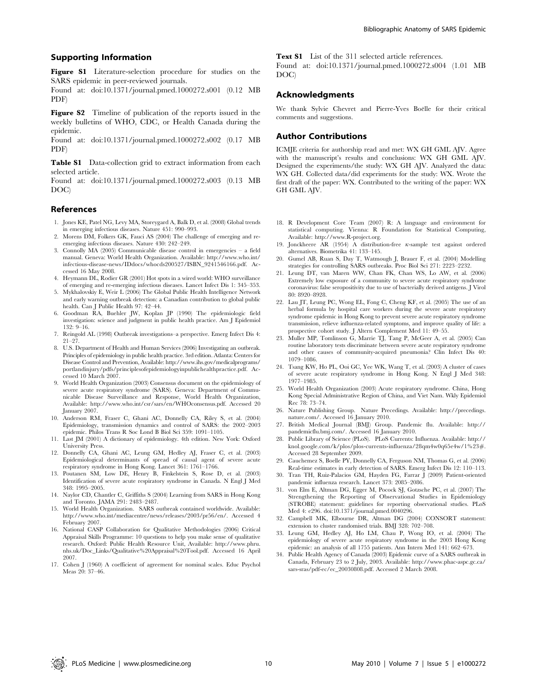#### Supporting Information

Figure S1 Literature-selection procedure for studies on the SARS epidemic in peer-reviewed journals.

Found at: doi:10.1371/journal.pmed.1000272.s001 (0.12 MB PDF)

Figure S2 Timeline of publication of the reports issued in the weekly bulletins of WHO, CDC, or Health Canada during the epidemic.

Found at: doi:10.1371/journal.pmed.1000272.s002 (0.17 MB PDF)

Table S1 Data-collection grid to extract information from each selected article.

Found at: doi:10.1371/journal.pmed.1000272.s003 (0.13 MB DOC)

#### References

- 1. Jones KE, Patel NG, Levy MA, Storeygard A, Balk D, et al. (2008) Global trends in emerging infectious diseases. Nature 451: 990–993.
- 2. Morens DM, Folkers GK, Fauci AS (2004) The challenge of emerging and reemerging infectious diseases. Nature 430: 242–249.
- 3. Connolly MA (2005) Communicable disease control in emergencies a field manual. Geneva: World Health Organization. Available: http://www.who.int/ infectious-disease-news/IDdocs/whocds200527/ISBN\_9241546166.pdf. Accessed 16 May 2008.
- 4. Heymann DL, Rodier GR (2001) Hot spots in a wired world: WHO surveillance of emerging and re-emerging infectious diseases. Lancet Infect Dis 1: 345–353.
- 5. Mykhalovskiy E, Weir L (2006) The Global Public Health Intelligence Network and early warning outbreak detection: a Canadian contribution to global public health. Can J Public Health 97: 42–44.
- 6. Goodman RA, Buehler JW, Koplan JP (1990) The epidemiologic field investigation: science and judgment in public health practice. Am J Epidemiol 132: 9–16.
- 7. Reingold AL (1998) Outbreak investigations–a perspective. Emerg Infect Dis 4: 21–27.
- 8. U.S. Department of Health and Human Services (2006) Investigating an outbreak. Principles of epidemiology in public health practice. 3rd edition. Atlanta: Centers for Disease Control and Prevention, Available: http://www.ihs.gov/medicalprograms/ portlandinjury/pdfs/principlesofepidemiologyinpublichealthpractice.pdf. Accessed 10 March 2007.
- 9. World Health Organization (2003) Consensus document on the epidemiology of severe acute respiratory syndrome (SARS). Geneva: Department of Communicable Disease Surveillance and Response, World Health Organization, Available: http://www.who.int/csr/sars/en/WHOconsensus.pdf. Accessed 20 January 2007.
- 10. Anderson RM, Fraser C, Ghani AC, Donnelly CA, Riley S, et al. (2004) Epidemiology, transmission dynamics and control of SARS: the 2002–2003 epidemic. Philos Trans R Soc Lond B Biol Sci 359: 1091–1105.
- 11. Last JM (2001) A dictionary of epidemiology. 4th edition. New York: Oxford University Press.
- 12. Donnelly CA, Ghani AC, Leung GM, Hedley AJ, Fraser C, et al. (2003) Epidemiological determinants of spread of causal agent of severe acute
- respiratory syndrome in Hong Kong. Lancet 361: 1761–1766. 13. Poutanen SM, Low DE, Henry B, Finkelstein S, Rose D, et al. (2003) Identification of severe acute respiratory syndrome in Canada. N Engl J Med 348: 1995–2005.
- 14. Naylor CD, Chantler C, Griffiths S (2004) Learning from SARS in Hong Kong and Toronto. JAMA 291: 2483–2487.
- 15. World Health Organization. SARS outbreak contained worldwide. Available: http://www.who.int/mediacentre/news/releases/2003/pr56/en/. Accessed 4 February 2007.
- 16. National CASP Collaboration for Qualitative Methodologies (2006) Critical Appraisal Skills Programme: 10 questions to help you make sense of qualitative research. Oxford: Public Health Resource Unit, Available: http://www.phru. nhs.uk/Doc\_Links/Qualitative%20Appraisal%20Tool.pdf. Accessed 16 April 2007.
- 17. Cohen J (1960) A coefficient of agreement for nominal scales. Educ Psychol Meas 20: 37–46.

Text S1 List of the 311 selected article references.

Found at: doi:10.1371/journal.pmed.1000272.s004 (1.01 MB DOC)

#### Acknowledgments

We thank Sylvie Chevret and Pierre-Yves Boëlle for their critical comments and suggestions.

#### Author Contributions

ICMJE criteria for authorship read and met: WX GH GML AJV. Agree with the manuscript's results and conclusions: WX GH GML AJV. Designed the experiments/the study: WX GH AJV. Analyzed the data: WX GH. Collected data/did experiments for the study: WX. Wrote the first draft of the paper: WX. Contributed to the writing of the paper: WX GH GML AJV.

- 18. R Development Core Team (2007) R: A language and environment for statistical computing. Vienna: R Foundation for Statistical Computing, Available: http://www.R-project.org.
- 19. Jonckheere AR (1954) A distribution-free k-sample test against ordered alternatives. Biometrika 41: 133–145.
- 20. Gumel AB, Ruan S, Day T, Watmough J, Brauer F, et al. (2004) Modelling strategies for controlling SARS outbreaks. Proc Biol Sci 271: 2223–2232.
- 21. Leung DT, van Maren WW, Chan FK, Chan WS, Lo AW, et al. (2006) Extremely low exposure of a community to severe acute respiratory syndrome coronavirus: false seropositivity due to use of bacterially derived antigens. J Virol 80: 8920–8928.
- 22. Lau JT, Leung PC, Wong EL, Fong C, Cheng KF, et al. (2005) The use of an herbal formula by hospital care workers during the severe acute respiratory syndrome epidemic in Hong Kong to prevent severe acute respiratory syndrome transmission, relieve influenza-related symptoms, and improve quality of life: a prospective cohort study. J Altern Complement Med 11: 49–55.
- 23. Muller MP, Tomlinson G, Marrie TJ, Tang P, McGeer A, et al. (2005) Can routine laboratory tests discriminate between severe acute respiratory syndrome and other causes of community-acquired pneumonia? Clin Infect Dis 40: 1079–1086.
- 24. Tsang KW, Ho PL, Ooi GC, Yee WK, Wang T, et al. (2003) A cluster of cases of severe acute respiratory syndrome in Hong Kong. N Engl J Med 348: 1977–1985.
- 25. World Health Organization (2003) Acute respiratory syndrome. China, Hong Kong Special Administrative Region of China, and Viet Nam. Wkly Epidemiol Rec 78: 73–74.
- 26. Nature Publishing Group. Nature Precedings. Available: http://precedings. nature.com/. Accessed 16 January 2010.
- 27. British Medical Journal (BMJ) Group. Pandemic flu. Available: http:// pandemicflu.bmj.com/. Accessed 16 January 2010.
- 28. Public Library of Science (PLoS). PLoS Currents: Influenza. Available: http:// knol.google.com/k/plos/plos-currents-influenza/28qm4w0q65e4w/1%23#. Accessed 28 September 2009.
- 29. Cauchemez S, Boelle PY, Donnelly CA, Ferguson NM, Thomas G, et al. (2006) Real-time estimates in early detection of SARS. Emerg Infect Dis 12: 110–113.
- 30. Tran TH, Ruiz-Palacios GM, Hayden FG, Farrar J (2009) Patient-oriented pandemic influenza research. Lancet 373: 2085–2086.
- 31. von Elm E, Altman DG, Egger M, Pocock SJ, Gotzsche PC, et al. (2007) The Strengthening the Reporting of Observational Studies in Epidemiology (STROBE) statement: guidelines for reporting observational studies. PLoS Med 4: e296. doi:10.1371/journal.pmed.0040296.
- 32. Campbell MK, Elbourne DR, Altman DG (2004) CONSORT statement: extension to cluster randomised trials. BMJ 328: 702–708.
- 33. Leung GM, Hedley AJ, Ho LM, Chau P, Wong IO, et al. (2004) The epidemiology of severe acute respiratory syndrome in the 2003 Hong Kong epidemic: an analysis of all 1755 patients. Ann Intern Med 141: 662–673.
- 34. Public Health Agency of Canada (2003) Epidemic curve of a SARS outbreak in Canada, February 23 to 2 July, 2003. Available: http://www.phac-aspc.gc.ca/ sars-sras/pdf-ec/ec\_20030808.pdf. Accessed 2 March 2008.